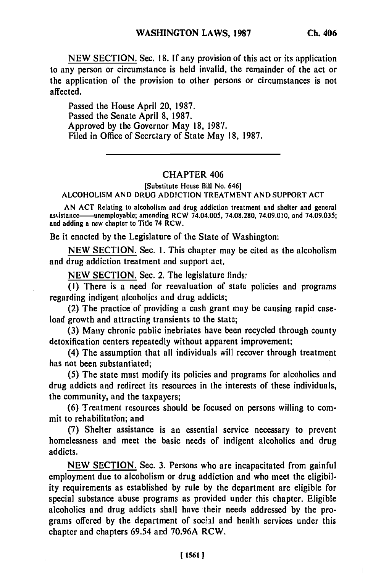**NEW SECTION.** Sec. **18. If** any provision of this act or its application to any person or circumstance is held invalid, the remainder of the act or the application of the provision to other persons or circumstances is not affected.

Passed the House April 20, **1987.** Passed the Senate April **8, 1987.** Approved **by** the Governor May **18, 1987.** Filed in Office of Secretary of State May **18, 1987.**

## CHAPTER 406

[Substitute House Bill No. 646] **ALCOHOLISM AND DRUG ADDICTION** TREATMENT **AND** SUPPORT **ACT**

**AN ACT** Relating to alcoholism and drug addiction treatment and shelter and general asi,istance-unmployable; amending RCW 74.04.005, **74.08.280,** 74.09.010, and **74.09.035;** and adding a new chapter to Title 74 RCW.

Be it enacted **by** the Legislature of the State of Washington:

**NEW SECTION.** Sec. **1.** This chapter may be cited as the alcoholism and drug addiction treatment and support act.

**NEW SECTION.** Sec. 2. The legislature finds:

**(1)** There is a need for reevaluation of state policies and programs regarding indigent alcoholics and drug addicts;

(2) The practice of providing a cash grant may be causing rapid caseload growth and attracting transients to the state;

**(3)** Many chronic public inebriates have been recycled through county detoxification centers repeatedly without apparent improvement;

(4) The assumption that all individuals will recover through treatment has not been substantiated;

**(5)** The state must modify its policies and programs for alcoholics and drug addicts and redirect its resources in the interests of these individuals, the community, and the taxpayers;

**(6)** Treatment resources should be focused on persons willing to commit to rehabilitation; and

**(7)** Shelter assistance is an essential service necessary to prevent homelessness and meet the basic needs of indigent alcoholics and drug addicts.

**NEW SECTION.** Sec. **3.** Persons who are incapacitated from gainful employment due to alcoholism or drug addiction and who meet the eligibility requirements as established **by** rule **by** the department are eligible for special substance abuse programs as provided under this chapter. Eligible alcoholics and drug addicts shall have their needs addressed **by** the programs offered **by** the department of social and health services under this chapter and chapters 69.54 and **70.96A** RCW.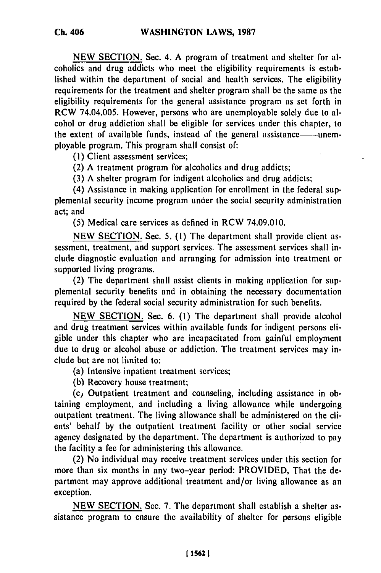**NEW** SECTION. Sec. 4. **A** program of treatment and shelter for alcoholics and drug addicts who meet the eligibility requirements is established within the department of social and health services. The eligibility requirements for the treatment and shelter program shall be the same as the eligibility requirements for the general assistance program as set forth in RCW 74.04.005. However, persons who are unemployable solely due to alcohol or drug addiction shall be eligible for services under this chapter, to the extent of available funds, instead of the general assistance——unemployable program. This program shall consist of:

(1) Client assessment services;

(2) A treatment program for alcoholics and drug addicts;

(3) A shelter program for indigent alcoholics and drug addicts;

(4) Assistance in making application for enrollment in the federal supplemental security income program under the social security administration act; and

(5) Medical care services as defined in RCW 74.09.010.

NEW SECTION. Sec. 5. (1) The department shall provide client assessment, treatment, and support services. The assessment services shall include diagnostic evaluation and arranging for admission into treatment or supported living programs.

(2) The department shall assist clients in making application for supplemental security benefits and in obtaining the necessary documentation required by the federal social security administration for such benefits.

NEW SECTION. Sec. 6. (1) The department shall provide alcohol and drug treatment services within available funds for indigent persons eligible under this chapter who are incapacitated from gainful employment due to drug or alcohol abuse or addiction. The treatment services may include but are not limited to:

(a) Intensive inpatient treatment services;

(b) Recovery house treatment;

(c) Outpatient treatment and counseling, including assistance in obtaining employment, and including a living allowance while undergoing outpatient treatment. The living allowance shall be administered on the clients' behalf by the outpatient treatment facility or other social service agency designated by the department. The department is authorized to pay the facility a fee for administering this allowance.

(2) No individual may receive treatment services under this section for more than six months in any two-year period: PROVIDED, That the department may approve additional treatment and/or living allowance as an exception.

NEW SECTION. Sec. 7. The department shall establish a shelter assistance program to ensure the availability of shelter for persons eligible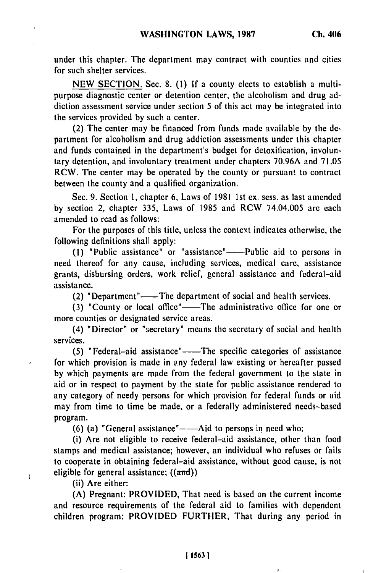under this chapter. The department may contract with counties and cities for such shelter services.

NEW SECTION. Sec. 8. (1) If a county elects to establish a multipurpose diagnostic center or detention center, the alcoholism and drug addiction assessment service under section 5 of this act may be integrated into the services provided by such a center.

(2) The center may be financed from funds made available by the department for alcoholism and drug addiction assessments under this chapter and funds contained in the department's budget for detoxification, involuntary detention, and involuntary treatment under chapters 70.96A and 71.05 RCW. The center may be operated by the county or pursuant to contract between the county and a qualified organization.

Sec. 9. Section 1, chapter 6, Laws of 1981 1st ex. sess. as last amended by section 2, chapter 335, Laws of 1985 and RCW 74.04.005 are each amended to read as follows:

For the purposes of this title, unless the context indicates otherwise, the following definitions shall apply:

**(1)** "Public assistance" or "assistance"-Public aid to persons in need thereof for any cause, including services, medical care, assistance grants, disbursing orders, work relief, general assistance and federal-aid assistance.

(2) "Department"—— The department of social and health services.

(3) "County or local office"-The administrative office for one or more counties or designated service areas.

(4) "Director" or "secretary" means the secretary of social and health services.

(5) "Federal-aid assistance" -- The specific categories of assistance for which provision is made in any federal law existing or hereafter passed by which payments are made from the federal government to the state in aid or in respect to payment by the state for public assistance rendered to any category of needy persons for which provision for federal funds or aid may from time to time be made, or a federally administered needs-based program.

**(6)** (a) "General assistance"--Aid to persons in need who:

(i) Are not eligible to receive federal-aid assistance, other than food stamps and medical assistance; however, an individual who refuses or fails to cooperate in obtaining federal-aid assistance, without good cause, is not eligible for general assistance;  $((\text{and}))$ 

(ii) Are either:

Ï

(A) Pregnant: PROVIDED, That need is based on the current income and resource requirements of the federal aid to families with dependent children program: PROVIDED FURTHER, That during any period in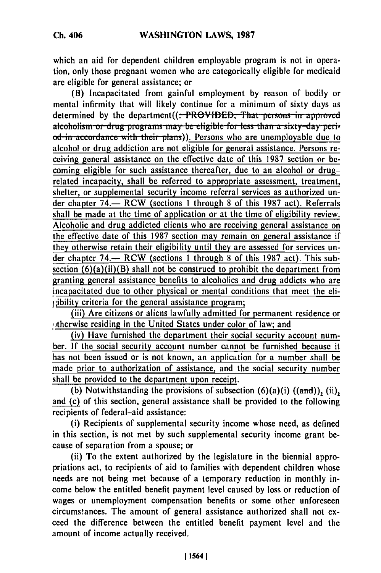which an aid for dependent children employable program is not in operation, only those pregnant women who are categorically eligible for medicaid are eligible for general assistance; or

(B) Incapacitated from gainful employment by reason of bodily or mental infirmity that will likely continue for a minimum of sixty days as determined by the department((:-PROVIDED, That persons in approved alcoholism or drug programs may be eligible for less than a sixty-day peri*d*-in accordance with their plans)). Persons who are unemployable due to alcohol or drug addiction are not eligible for general assistance. Persons receiving general assistance on the effective date of this 1987 section or becoming eligible for such assistance thereafter, due to an alcohol or drugrelated incapacity, shall be referred to appropriate assessment, treatment, shelter, or supplemental security income referral services as authorized under chapter 74.— RCW (sections 1 through 8 of this 1987 act). Referrals shall be made at the time of application or at the time of eligibility review. Alcoholic and drug addicted clients who are receiving general assistance on the effective date of this 1987 section may remain on general assistance if they otherwise retain their eligibility until they are assessed for services under chapter 74.— RCW (sections 1 through 8 of this 1987 act). This subsection  $(6)(a)(ii)(B)$  shall not be construed to prohibit the department from granting general assistance benefits to alcoholics and drug addicts who are incapacitated due to other physical or mental conditions that meet the eli- $1$ ;ibility criteria for the general assistance program;

(iii) Are citizens or aliens lawfully admitted for permanent residence or otherwise residing in the United States under color of law; and

(iv) Have furnished the department their social security account number. If the social security account number cannot be furnished because it has not been issued or is not known, an application for a number shall be made prior to authorization of assistance, and the social security number shall be provided to the department upon receipt.

(b) Notwithstanding the provisions of subsection  $(6)(a)(i)$   $((and))$ , (ii), and (c) of this section, general assistance shall be provided to the following recipients of federal-aid assistance:

(i) Recipients of supplemental security income whose need, as defined in this section, is not met by such supplemental security income grant because of separation from a spouse; or

(ii) To the extent authorized by the legislature in the biennial appropriations act, to recipients of aid to families with dependent children whose needs are not being met because of a temporary reduction in monthly income below the entitled benefit payment level caused by loss or reduction of wages or unemployment compensation benefits or some other unforeseen circumstances. The amount of general assistance authorized shall not exceed the difference between the entitled benefit payment level and the amount of income actually received.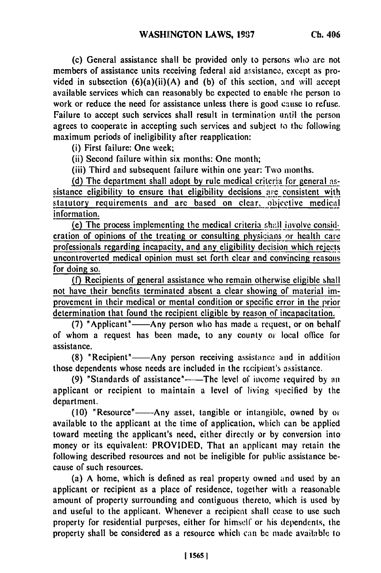(c) General assistance shall be provided only to persons who are not members of assistance units receiving federal aid assistance, except as provided in subsection (6)(a)(ii)(A) and **(b)** of this section, and will accept available services which can reasonably be expected to enable the person to work or reduce the need for assistance unless there is good cause to refuse. Failure to accept such services shall result in termination until the person agrees to cooperate in accepting such services and subject to the following maximum periods of ineligibility after reapplication:

(i) First failure: One week;

(ii) Second failure within six months: One month;

(iii) Third and subsequent failure within one year: Two months.

**(d)** The department shall adopt **by** rule medical criteria for general **as** sistance eligibility to ensure that eligibility decisions are consistent with statutory requirements and are based on clear, objective medical information.

(e) The process implementing the medical criteria shall involve consideration of opinions of the treating or consulting physicians or health care professionals regarding incapacity, and any eligibility decision which rejets uncontroverted medical opinion must set forth clear and convincing reasons for doing so.

**(f)** Recipients of general assistance who remain otherwise eligible shall not have their benefits terminated absent a clear showing of material improvement in their medical or mental condition or specific error in the prior determination that found the recipient eligible **by** reason of incapacitation.

(7) "Applicant"——Any person who has made a request, or on behalf of whom a request has been made, to any county or local office for assistance.

**(8)** "Recipient"-Any person receiving assistance and in addition those dependents whose needs are included in the rccipient's assistance.

(9) "Standards of assistance"——The level of income required by an applicant or recipient to maintain a level of living specified by the department.

(10) "Resource"----Any asset, tangible or intangible, owned by or available to the applicant at the time of application, which can be applied toward meeting the applicant's need, either directly or by conversion into money or its equivalent: PROVIDED, That an applicant may retain the following described resources and not be ineligible for public assistance because of such resources.

(a) A home, which is defined as real property owned and used by an applicant or recipient as a place of residence, together with a reasonable amount of property surrounding and contiguous thereto, which is used by and useful to the applicant. Whenever a recipient shall cease to use such property for residential purposes, either for himself or his dependents, the property shall be considered as a resource which can be made available to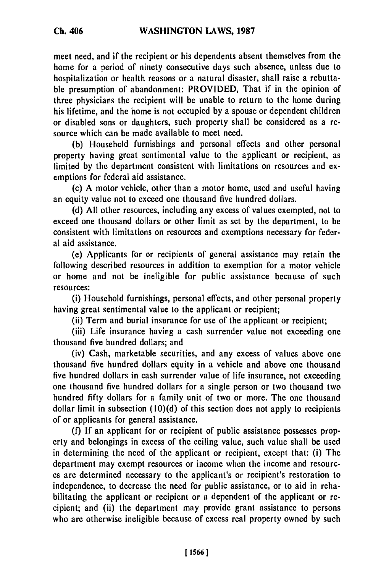**Ch. 406**

meet need, and if the recipient or his dependents absent themselves from the home for a period of ninety consecutive days such absence, unless due to hospitalization or health reasons or a natural disaster, shall raise a rebuttable presumption of abandonment: PROVIDED, That if in the opinion of three physicians the recipient will be unable to return to the home during his lifetime, and the home is not occupied by a spouse or dependent children or disabled sons or daughters, such property shall be considered as a resource which can be made available to meet need.

(b) Household furnishings and personal effects and other personal property having great sentimental value to the applicant or recipient, as limited by the department consistent with limitations on resources and exemptions for federal aid assistance.

(c) A motor vehicle, other than a motor home, used and useful having an equity value not to exceed one thousand five hundred dollars.

(d) All other resources, including any excess of values exempted, not to exceed one thousand dollars or other limit as set by the department, to be consistent with limitations on resources and exemptions necessary for federal aid assistance.

(e) Applicants for or recipients of general assistance may retain the following described resources in addition to exemption for a motor vehicle or home and not be ineligible for public assistance because of such resources:

(i) Household furnishings, personal effects, and other personal property having great sentimental value to the applicant or recipient;

(ii) Term and burial insurance for use of the applicant or recipient;

(iii) Life insurance having a cash surrender value not exceeding one thousand five hundred dollars; and

(iv) Cash, marketable securities, and any excess of values above one thousand five hundred dollars equity in a vehicle and above one thousand five hundred dollars in cash surrender value of life insurance, not exceeding one thousand five hundred dollars for a single person or two thousand two hundred fifty dollars for a family unit of two or more. The one thousand dollar limit in subsection (10)(d) of this section does not apply to recipients of or applicants for general assistance.

(f) If an applicant for or recipient of public assistance possesses property and belongings in excess of the ceiling value, such value shall be used in determining the need of the applicant or recipient, except that: (i) The department may exempt resources or income when the income and resources are determined necessary to the applicant's or recipient's restoration to independence, to decrease the need for public assistance, or to aid in rehabilitating the applicant or recipient or a dependent of the applicant or recipient; and (ii) the department may provide grant assistance to persons who are otherwise ineligible because of excess real property owned by such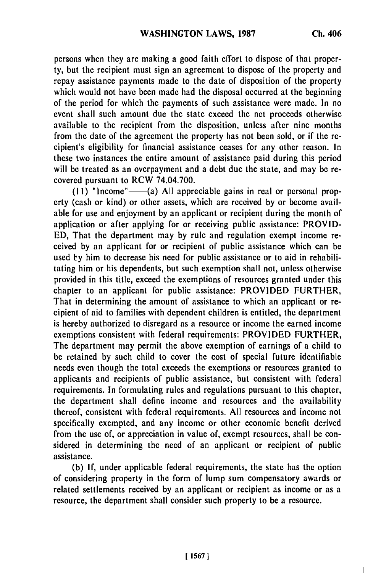persons when they are making a good faith effort to dispose of that property, but the recipient must sign an agreement to dispose of the property and repay assistance payments made to the date of disposition of the property which would not have been made had the disposal occurred at the beginning of the period for which the payments of such assistance were made. In no event shall such amount due the state exceed the net proceeds otherwise available to the recipient from the disposition, unless after nine months from the date of the agreement the property has not been sold, or if the recipient's eligibility for financial assistance ceases for any other reason. In these two instances the entire amount of assistance paid during this period will be treated as an overpayment and a debt due the state, and may be recovered pursuant to RCW 74.04.700.

**(11)** "lncome"-(a) **All** appreciable gains in real or personal property (cash or kind) or other assets, which are received **by** or become available for use and enjoyment **by** an applicant or recipient during the month of application or after applying for or receiving public assistance: PROVID-**ED,** That the department may **by** rule and regulation exempt income received **by** an applicant for or recipient of public assistance which can be used by him to decrease his need for public assistance or to aid in rehabilitating him or his dependents, but such exemption shall not, unless otherwise provided in this title, exceed the exemptions of resources granted under this chapter to an applicant for public assistance: PROVIDED FURTHER, That in determining the amount of assistance to which an applicant or recipient of aid to families with dependent children is entitled, the department is hereby authorized to disregard as a resource or income the earned income exemptions consistent with federal requirements: PROVIDED FURTHER, The department may permit the above exemption of earnings of a child to **be** retained **by** such child to cover the cost of special future identifiable needs even though the total exceeds the exemptions or resources granted to applicants and recipients of public assistance, but consistent with federal requirements. In formulating rules and regulations pursuant to this chapter, the department shall define income and resources and the availability thereof, consistent with federal requirements. **All** resources and income not specifically exempted, and any income or other economic benefit derived from the use of, or appreciation in value of, exempt resources, shall be considered in determining the need of an applicant or recipient of public assistance.

(b) If, under applicable federal requirements, the state has the option of considering property in the form of lump sum compensatory awards or related settlements received **by** an applicant or recipient as income or as a resource, the department shall consider such property to be a resource.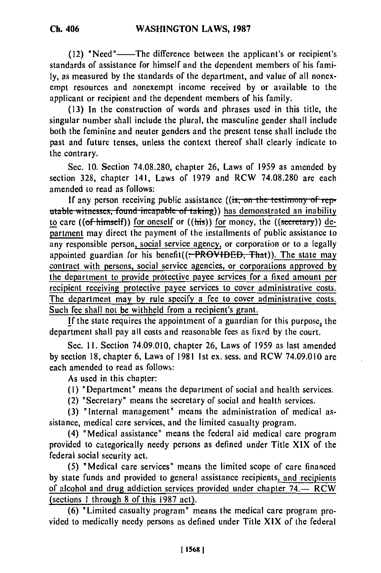(12) "Need"-The difference between the applicant's or recipient's standards of assistance for himself and the dependent members of' his family, as measured by the standards of the department, and value of all nonexempt resources and nonexempt income received by or available to the applicant or recipient and the dependent members of his family.

(13) In the construction of words and phrases used in this title, the singular number shall include the plural, the masculine gender shall include both the feminine and neuter genders and the present tense shall include the past and future tenses, unless the context thereof shall clearly indicate to the contrary.

Sec. 10. Section 74.08.280, chapter 26, Laws of 1959 as amended by section 328, chapter 141, Laws of 1979 and RCW 74.08.280 are each amended to read as follows:

If any person receiving public assistance ((is, on the testimony of reputable witnesses, found incapable of taking)) has demonstrated an inability to care ((of himself)) for oneself or  $((\overline{\text{his}}))$  for money, the  $((\overline{\text{secretary}}))$  department may direct the payment of the installments of public assistance to any responsible person, social service agency, or corporation or to a legally appointed guardian for his benefit( $($ : PROVIDED, That)). The state may contract with persons, social service agencies, or corporations approved by the department to provide protective payee services for a fixed amount per recipient receiving protective payee services to cover administrative costs. The department may by rule specify a fee to cover administrative costs. Such fee shall not be withheld from a recipient's grant.

If the state requires the appointment of a guardian for this purpose, the department shall pay all costs and reasonable fees as fixed by the court.

Sec. **11.** Section 74.09.010, chapter 26, Laws of 1959 as last amended by section 18, chapter 6, Laws of 1981 1st ex. sess. and RCW 74.09.010 are each amended to read as follows:

As used in this chapter:

(I) "Department" means the department of social and health services.

(2) "Secretary" means the secretary of social and health services.

(3) "Internal management" means the administration of medical assistance, medical care services, and the limited casualty program.

(4) "Medical assistance" means the federal aid medical care program provided to categorically needy persons as defined under Title XIX of the federal social security act.

(5) "Medical care services" means the limited scope of care financed by state funds and provided to general assistance recipients, and recipients of alcohol and drug addiction services provided under chapter  $74.$  RCW (sections 1 through 8 of this 1987 act).

(6) "Limited casualty program" means the medical care program provided to medically needy persons as defined under Title XIX of the federal